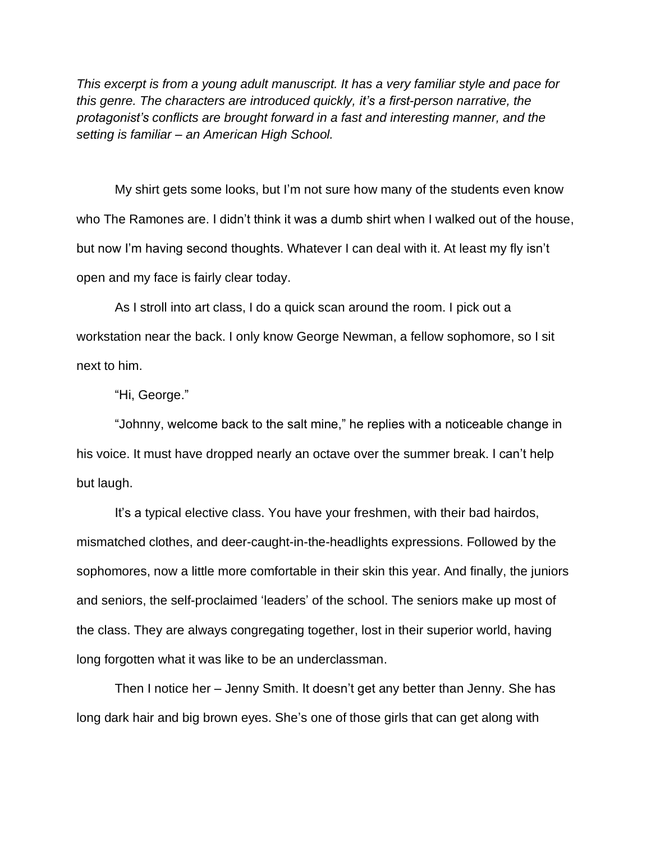*This excerpt is from a young adult manuscript. It has a very familiar style and pace for this genre. The characters are introduced quickly, it's a first-person narrative, the protagonist's conflicts are brought forward in a fast and interesting manner, and the setting is familiar – an American High School.*

 My shirt gets some looks, but I'm not sure how many of the students even know who The Ramones are. I didn't think it was a dumb shirt when I walked out of the house, but now I'm having second thoughts. Whatever I can deal with it. At least my fly isn't open and my face is fairly clear today.

As I stroll into art class, I do a quick scan around the room. I pick out a workstation near the back. I only know George Newman, a fellow sophomore, so I sit next to him.

"Hi, George."

 "Johnny, welcome back to the salt mine," he replies with a noticeable change in his voice. It must have dropped nearly an octave over the summer break. I can't help but laugh.

 It's a typical elective class. You have your freshmen, with their bad hairdos, mismatched clothes, and deer-caught-in-the-headlights expressions. Followed by the sophomores, now a little more comfortable in their skin this year. And finally, the juniors and seniors, the self-proclaimed 'leaders' of the school. The seniors make up most of the class. They are always congregating together, lost in their superior world, having long forgotten what it was like to be an underclassman.

Then I notice her – Jenny Smith. It doesn't get any better than Jenny. She has long dark hair and big brown eyes. She's one of those girls that can get along with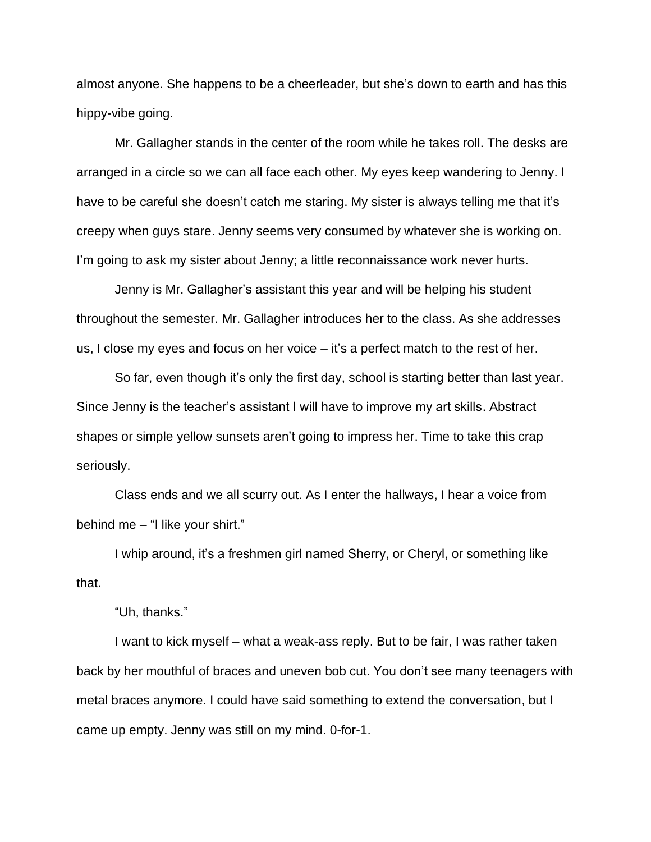almost anyone. She happens to be a cheerleader, but she's down to earth and has this hippy-vibe going.

 Mr. Gallagher stands in the center of the room while he takes roll. The desks are arranged in a circle so we can all face each other. My eyes keep wandering to Jenny. I have to be careful she doesn't catch me staring. My sister is always telling me that it's creepy when guys stare. Jenny seems very consumed by whatever she is working on. I'm going to ask my sister about Jenny; a little reconnaissance work never hurts.

 Jenny is Mr. Gallagher's assistant this year and will be helping his student throughout the semester. Mr. Gallagher introduces her to the class. As she addresses us, I close my eyes and focus on her voice – it's a perfect match to the rest of her.

So far, even though it's only the first day, school is starting better than last year. Since Jenny is the teacher's assistant I will have to improve my art skills. Abstract shapes or simple yellow sunsets aren't going to impress her. Time to take this crap seriously.

 Class ends and we all scurry out. As I enter the hallways, I hear a voice from behind me – "I like your shirt."

I whip around, it's a freshmen girl named Sherry, or Cheryl, or something like that.

"Uh, thanks."

I want to kick myself – what a weak-ass reply. But to be fair, I was rather taken back by her mouthful of braces and uneven bob cut. You don't see many teenagers with metal braces anymore. I could have said something to extend the conversation, but I came up empty. Jenny was still on my mind. 0-for-1.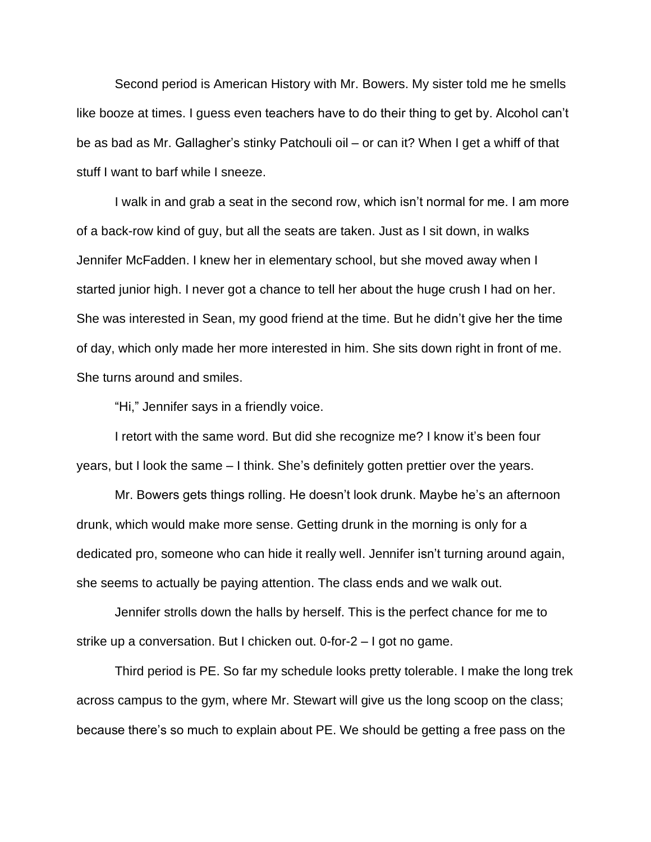Second period is American History with Mr. Bowers. My sister told me he smells like booze at times. I guess even teachers have to do their thing to get by. Alcohol can't be as bad as Mr. Gallagher's stinky Patchouli oil – or can it? When I get a whiff of that stuff I want to barf while I sneeze.

I walk in and grab a seat in the second row, which isn't normal for me. I am more of a back-row kind of guy, but all the seats are taken. Just as I sit down, in walks Jennifer McFadden. I knew her in elementary school, but she moved away when I started junior high. I never got a chance to tell her about the huge crush I had on her. She was interested in Sean, my good friend at the time. But he didn't give her the time of day, which only made her more interested in him. She sits down right in front of me. She turns around and smiles.

"Hi," Jennifer says in a friendly voice.

I retort with the same word. But did she recognize me? I know it's been four years, but I look the same – I think. She's definitely gotten prettier over the years.

 Mr. Bowers gets things rolling. He doesn't look drunk. Maybe he's an afternoon drunk, which would make more sense. Getting drunk in the morning is only for a dedicated pro, someone who can hide it really well. Jennifer isn't turning around again, she seems to actually be paying attention. The class ends and we walk out.

Jennifer strolls down the halls by herself. This is the perfect chance for me to strike up a conversation. But I chicken out. 0-for-2 – I got no game.

 Third period is PE. So far my schedule looks pretty tolerable. I make the long trek across campus to the gym, where Mr. Stewart will give us the long scoop on the class; because there's so much to explain about PE. We should be getting a free pass on the